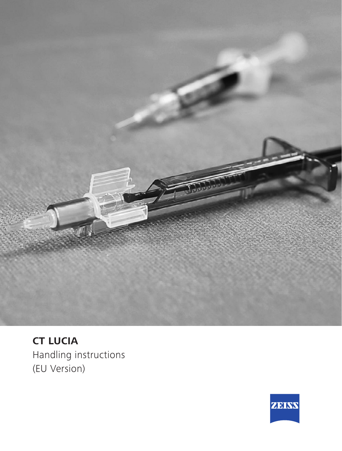

**CT LUCIA** Handling instructions (EU Version)